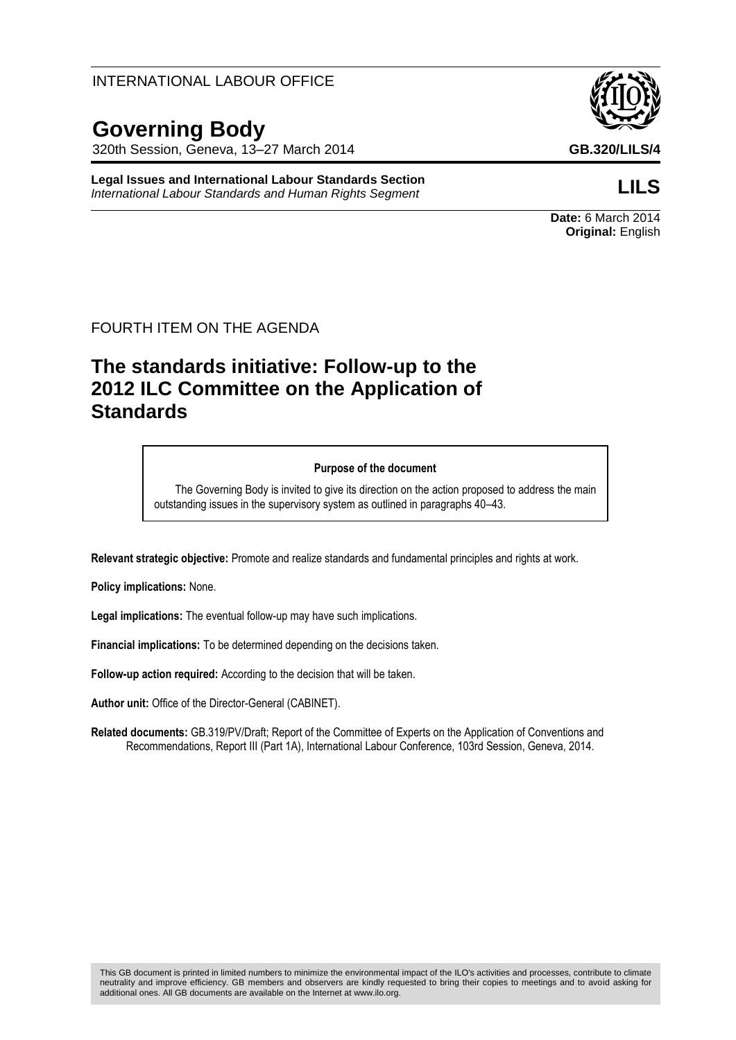## INTERNATIONAL LABOUR OFFICE

# **Governing Body**

320th Session, Geneva, 13–27 March 2014 **GB.320/LILS/4**

**Legal Issues and International Labour Standards Section** *International Labour Standards and Human Rights Segment* **LILS**

## FOURTH ITEM ON THE AGENDA

# **The standards initiative: Follow-up to the 2012 ILC Committee on the Application of Standards**

#### **Purpose of the document**

The Governing Body is invited to give its direction on the action proposed to address the main outstanding issues in the supervisory system as outlined in paragraphs 40–43.

**Relevant strategic objective:** Promote and realize standards and fundamental principles and rights at work.

**Policy implications:** None.

**Legal implications:** The eventual follow-up may have such implications.

**Financial implications:** To be determined depending on the decisions taken.

**Follow-up action required:** According to the decision that will be taken.

**Author unit:** Office of the Director-General (CABINET).

**Related documents:** GB.319/PV/Draft; Report of the Committee of Experts on the Application of Conventions and Recommendations, Report III (Part 1A), International Labour Conference, 103rd Session, Geneva, 2014.



**Date:** 6 March 2014 **Original:** English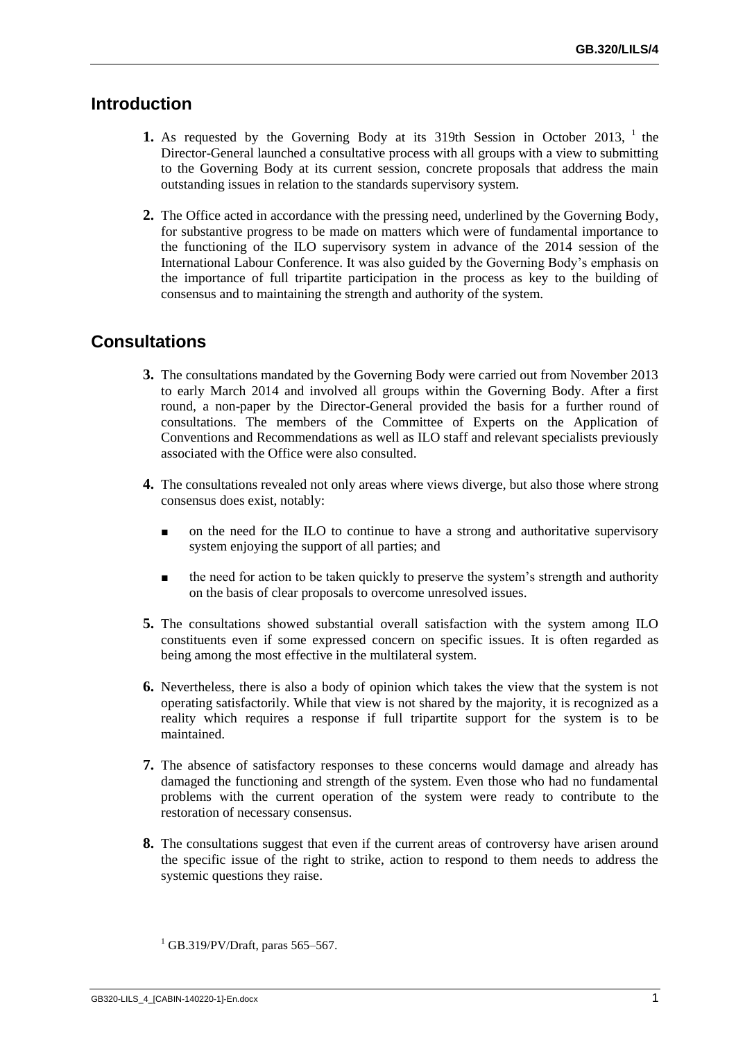# **Introduction**

- **1.** As requested by the Governing Body at its 319th Session in October 2013, <sup>1</sup> the Director-General launched a consultative process with all groups with a view to submitting to the Governing Body at its current session, concrete proposals that address the main outstanding issues in relation to the standards supervisory system.
- **2.** The Office acted in accordance with the pressing need, underlined by the Governing Body, for substantive progress to be made on matters which were of fundamental importance to the functioning of the ILO supervisory system in advance of the 2014 session of the International Labour Conference. It was also guided by the Governing Body's emphasis on the importance of full tripartite participation in the process as key to the building of consensus and to maintaining the strength and authority of the system.

# **Consultations**

- **3.** The consultations mandated by the Governing Body were carried out from November 2013 to early March 2014 and involved all groups within the Governing Body. After a first round, a non-paper by the Director-General provided the basis for a further round of consultations. The members of the Committee of Experts on the Application of Conventions and Recommendations as well as ILO staff and relevant specialists previously associated with the Office were also consulted.
- **4.** The consultations revealed not only areas where views diverge, but also those where strong consensus does exist, notably:
	- on the need for the ILO to continue to have a strong and authoritative supervisory system enjoying the support of all parties; and
	- the need for action to be taken quickly to preserve the system's strength and authority on the basis of clear proposals to overcome unresolved issues.
- **5.** The consultations showed substantial overall satisfaction with the system among ILO constituents even if some expressed concern on specific issues. It is often regarded as being among the most effective in the multilateral system.
- **6.** Nevertheless, there is also a body of opinion which takes the view that the system is not operating satisfactorily. While that view is not shared by the majority, it is recognized as a reality which requires a response if full tripartite support for the system is to be maintained.
- **7.** The absence of satisfactory responses to these concerns would damage and already has damaged the functioning and strength of the system. Even those who had no fundamental problems with the current operation of the system were ready to contribute to the restoration of necessary consensus.
- **8.** The consultations suggest that even if the current areas of controversy have arisen around the specific issue of the right to strike, action to respond to them needs to address the systemic questions they raise.

 $<sup>1</sup>$  GB.319/PV/Draft, paras 565–567.</sup>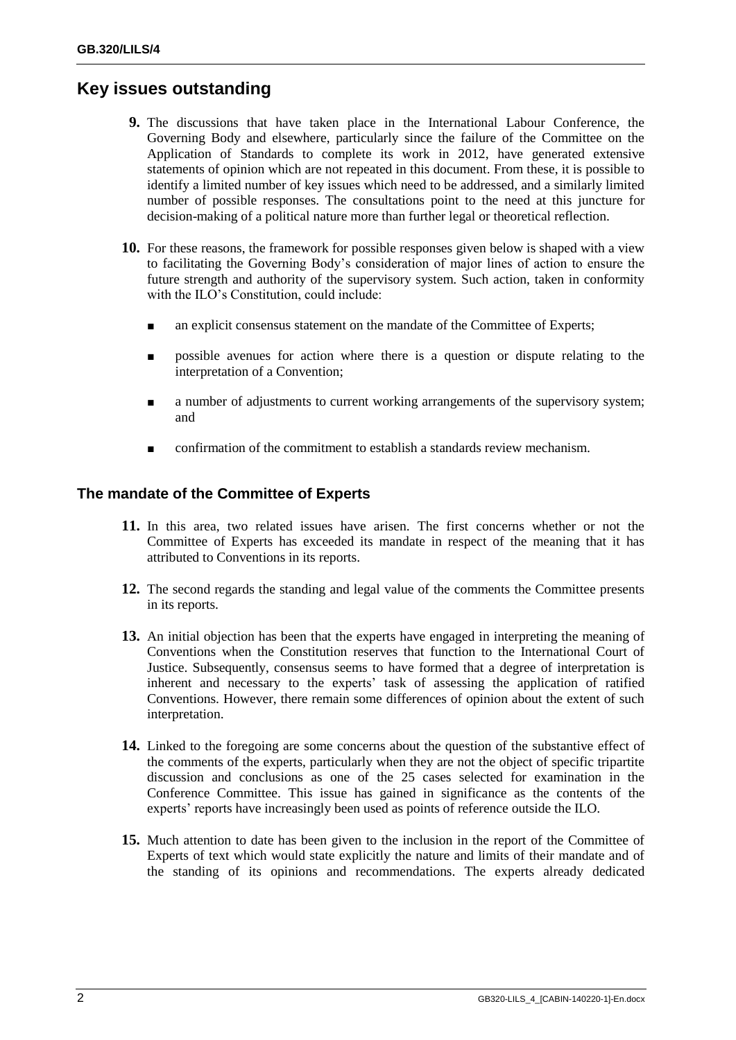# **Key issues outstanding**

- **9.** The discussions that have taken place in the International Labour Conference, the Governing Body and elsewhere, particularly since the failure of the Committee on the Application of Standards to complete its work in 2012, have generated extensive statements of opinion which are not repeated in this document. From these, it is possible to identify a limited number of key issues which need to be addressed, and a similarly limited number of possible responses. The consultations point to the need at this juncture for decision-making of a political nature more than further legal or theoretical reflection.
- **10.** For these reasons, the framework for possible responses given below is shaped with a view to facilitating the Governing Body's consideration of major lines of action to ensure the future strength and authority of the supervisory system. Such action, taken in conformity with the ILO's Constitution, could include:
	- an explicit consensus statement on the mandate of the Committee of Experts;
	- possible avenues for action where there is a question or dispute relating to the interpretation of a Convention;
	- a number of adjustments to current working arrangements of the supervisory system; and
	- confirmation of the commitment to establish a standards review mechanism.

## **The mandate of the Committee of Experts**

- **11.** In this area, two related issues have arisen. The first concerns whether or not the Committee of Experts has exceeded its mandate in respect of the meaning that it has attributed to Conventions in its reports.
- **12.** The second regards the standing and legal value of the comments the Committee presents in its reports.
- **13.** An initial objection has been that the experts have engaged in interpreting the meaning of Conventions when the Constitution reserves that function to the International Court of Justice. Subsequently, consensus seems to have formed that a degree of interpretation is inherent and necessary to the experts' task of assessing the application of ratified Conventions. However, there remain some differences of opinion about the extent of such interpretation.
- **14.** Linked to the foregoing are some concerns about the question of the substantive effect of the comments of the experts, particularly when they are not the object of specific tripartite discussion and conclusions as one of the 25 cases selected for examination in the Conference Committee. This issue has gained in significance as the contents of the experts' reports have increasingly been used as points of reference outside the ILO.
- **15.** Much attention to date has been given to the inclusion in the report of the Committee of Experts of text which would state explicitly the nature and limits of their mandate and of the standing of its opinions and recommendations. The experts already dedicated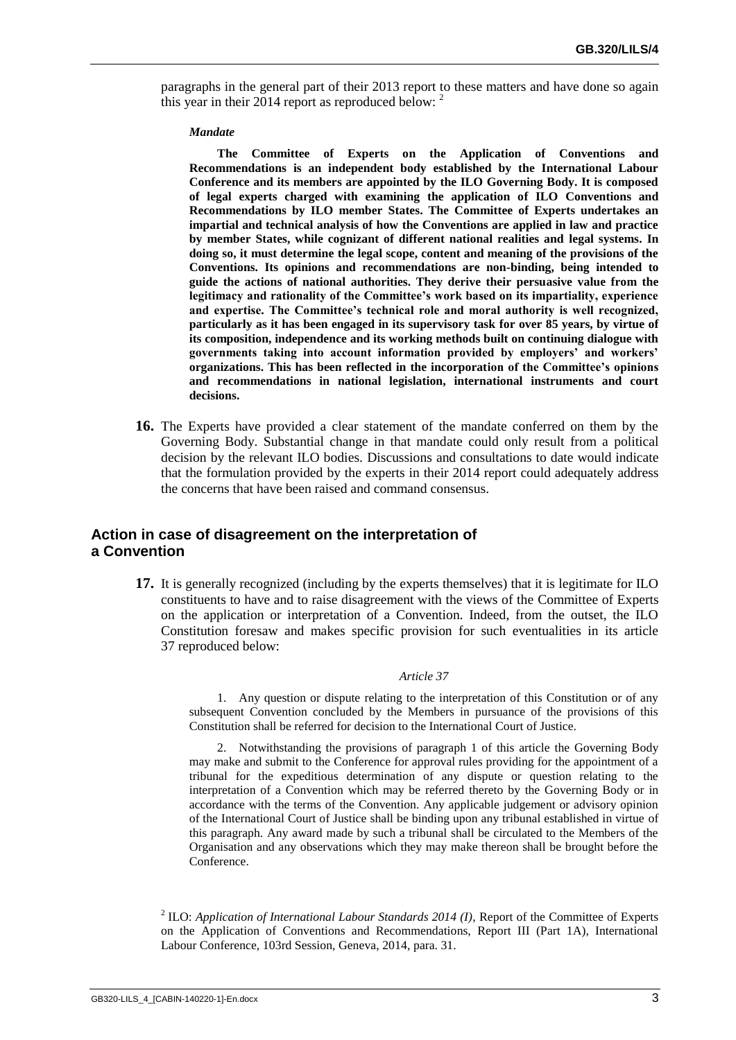paragraphs in the general part of their 2013 report to these matters and have done so again this year in their 2014 report as reproduced below: <sup>2</sup>

#### *Mandate*

**The Committee of Experts on the Application of Conventions and Recommendations is an independent body established by the International Labour Conference and its members are appointed by the ILO Governing Body. It is composed of legal experts charged with examining the application of ILO Conventions and Recommendations by ILO member States. The Committee of Experts undertakes an impartial and technical analysis of how the Conventions are applied in law and practice by member States, while cognizant of different national realities and legal systems. In doing so, it must determine the legal scope, content and meaning of the provisions of the Conventions. Its opinions and recommendations are non-binding, being intended to guide the actions of national authorities. They derive their persuasive value from the legitimacy and rationality of the Committee's work based on its impartiality, experience and expertise. The Committee's technical role and moral authority is well recognized, particularly as it has been engaged in its supervisory task for over 85 years, by virtue of its composition, independence and its working methods built on continuing dialogue with governments taking into account information provided by employers' and workers' organizations. This has been reflected in the incorporation of the Committee's opinions and recommendations in national legislation, international instruments and court decisions.** 

**16.** The Experts have provided a clear statement of the mandate conferred on them by the Governing Body. Substantial change in that mandate could only result from a political decision by the relevant ILO bodies. Discussions and consultations to date would indicate that the formulation provided by the experts in their 2014 report could adequately address the concerns that have been raised and command consensus.

### **Action in case of disagreement on the interpretation of a Convention**

**17.** It is generally recognized (including by the experts themselves) that it is legitimate for ILO constituents to have and to raise disagreement with the views of the Committee of Experts on the application or interpretation of a Convention. Indeed, from the outset, the ILO Constitution foresaw and makes specific provision for such eventualities in its article 37 reproduced below:

#### *Article 37*

1. Any question or dispute relating to the interpretation of this Constitution or of any subsequent Convention concluded by the Members in pursuance of the provisions of this Constitution shall be referred for decision to the International Court of Justice.

2. Notwithstanding the provisions of paragraph 1 of this article the Governing Body may make and submit to the Conference for approval rules providing for the appointment of a tribunal for the expeditious determination of any dispute or question relating to the interpretation of a Convention which may be referred thereto by the Governing Body or in accordance with the terms of the Convention. Any applicable judgement or advisory opinion of the International Court of Justice shall be binding upon any tribunal established in virtue of this paragraph. Any award made by such a tribunal shall be circulated to the Members of the Organisation and any observations which they may make thereon shall be brought before the Conference.

2 ILO: *Application of International Labour Standards 2014 (I)*, Report of the Committee of Experts on the Application of Conventions and Recommendations, Report III (Part 1A), International Labour Conference, 103rd Session, Geneva, 2014, para. 31.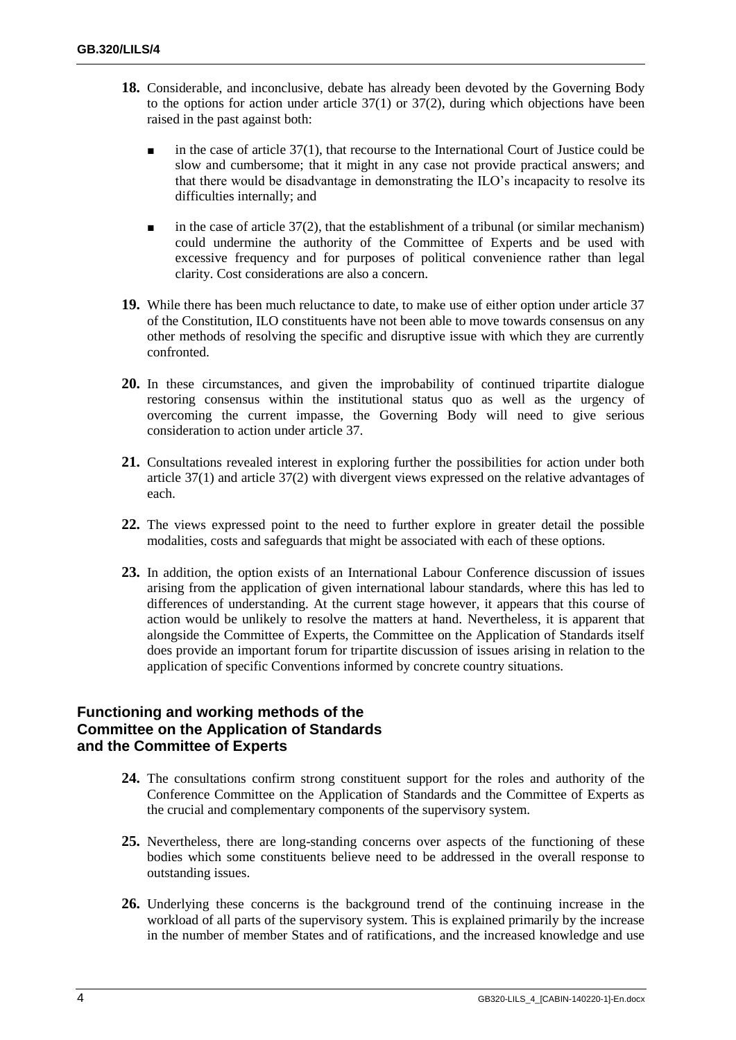- **18.** Considerable, and inconclusive, debate has already been devoted by the Governing Body to the options for action under article  $37(1)$  or  $37(2)$ , during which objections have been raised in the past against both:
	- $\blacksquare$  in the case of article 37(1), that recourse to the International Court of Justice could be slow and cumbersome; that it might in any case not provide practical answers; and that there would be disadvantage in demonstrating the ILO's incapacity to resolve its difficulties internally; and
	- $\blacksquare$  in the case of article 37(2), that the establishment of a tribunal (or similar mechanism) could undermine the authority of the Committee of Experts and be used with excessive frequency and for purposes of political convenience rather than legal clarity. Cost considerations are also a concern.
- **19.** While there has been much reluctance to date, to make use of either option under article 37 of the Constitution, ILO constituents have not been able to move towards consensus on any other methods of resolving the specific and disruptive issue with which they are currently confronted.
- **20.** In these circumstances, and given the improbability of continued tripartite dialogue restoring consensus within the institutional status quo as well as the urgency of overcoming the current impasse, the Governing Body will need to give serious consideration to action under article 37.
- **21.** Consultations revealed interest in exploring further the possibilities for action under both article 37(1) and article 37(2) with divergent views expressed on the relative advantages of each.
- **22.** The views expressed point to the need to further explore in greater detail the possible modalities, costs and safeguards that might be associated with each of these options.
- **23.** In addition, the option exists of an International Labour Conference discussion of issues arising from the application of given international labour standards, where this has led to differences of understanding. At the current stage however, it appears that this course of action would be unlikely to resolve the matters at hand. Nevertheless, it is apparent that alongside the Committee of Experts, the Committee on the Application of Standards itself does provide an important forum for tripartite discussion of issues arising in relation to the application of specific Conventions informed by concrete country situations.

### **Functioning and working methods of the Committee on the Application of Standards and the Committee of Experts**

- **24.** The consultations confirm strong constituent support for the roles and authority of the Conference Committee on the Application of Standards and the Committee of Experts as the crucial and complementary components of the supervisory system.
- **25.** Nevertheless, there are long-standing concerns over aspects of the functioning of these bodies which some constituents believe need to be addressed in the overall response to outstanding issues.
- **26.** Underlying these concerns is the background trend of the continuing increase in the workload of all parts of the supervisory system. This is explained primarily by the increase in the number of member States and of ratifications, and the increased knowledge and use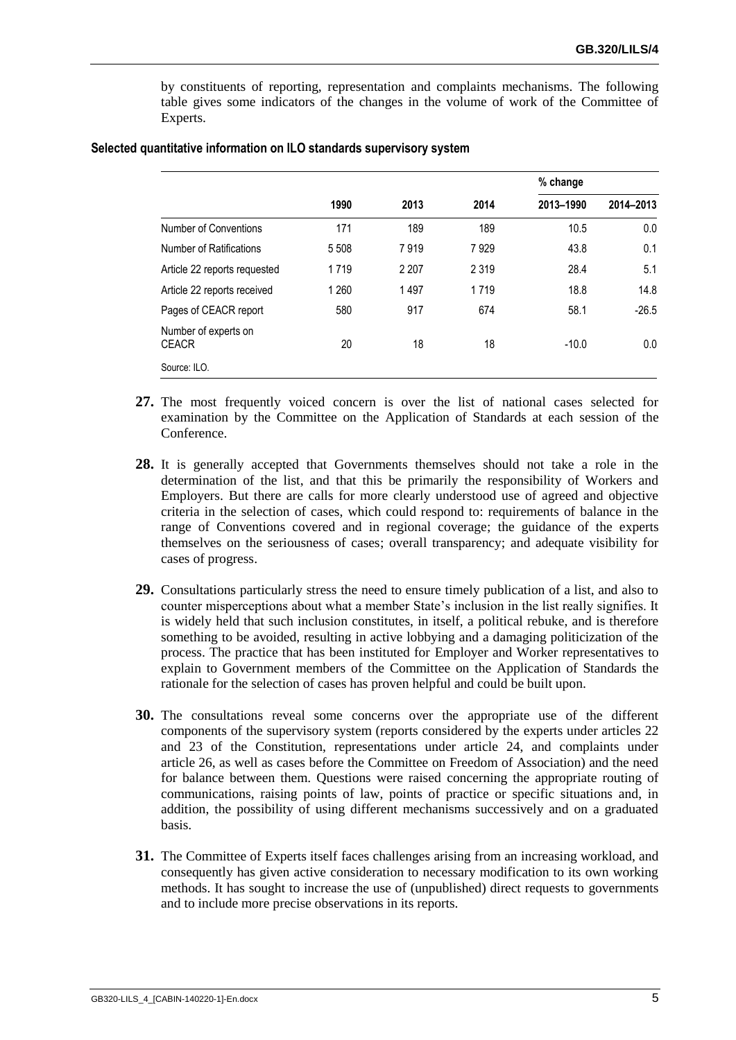by constituents of reporting, representation and complaints mechanisms. The following table gives some indicators of the changes in the volume of work of the Committee of Experts.

|                                      | 1990    | 2013    | 2014    | % change  |           |
|--------------------------------------|---------|---------|---------|-----------|-----------|
|                                      |         |         |         | 2013-1990 | 2014-2013 |
| Number of Conventions                | 171     | 189     | 189     | 10.5      | 0.0       |
| Number of Ratifications              | 5 5 0 8 | 7919    | 7929    | 43.8      | 0.1       |
| Article 22 reports requested         | 1719    | 2 2 0 7 | 2 3 1 9 | 28.4      | 5.1       |
| Article 22 reports received          | 1 2 6 0 | 1497    | 1719    | 18.8      | 14.8      |
| Pages of CEACR report                | 580     | 917     | 674     | 58.1      | $-26.5$   |
| Number of experts on<br><b>CEACR</b> | 20      | 18      | 18      | $-10.0$   | 0.0       |
| Source: ILO.                         |         |         |         |           |           |

#### **Selected quantitative information on ILO standards supervisory system**

- **27.** The most frequently voiced concern is over the list of national cases selected for examination by the Committee on the Application of Standards at each session of the Conference.
- **28.** It is generally accepted that Governments themselves should not take a role in the determination of the list, and that this be primarily the responsibility of Workers and Employers. But there are calls for more clearly understood use of agreed and objective criteria in the selection of cases, which could respond to: requirements of balance in the range of Conventions covered and in regional coverage; the guidance of the experts themselves on the seriousness of cases; overall transparency; and adequate visibility for cases of progress.
- **29.** Consultations particularly stress the need to ensure timely publication of a list, and also to counter misperceptions about what a member State's inclusion in the list really signifies. It is widely held that such inclusion constitutes, in itself, a political rebuke, and is therefore something to be avoided, resulting in active lobbying and a damaging politicization of the process. The practice that has been instituted for Employer and Worker representatives to explain to Government members of the Committee on the Application of Standards the rationale for the selection of cases has proven helpful and could be built upon.
- **30.** The consultations reveal some concerns over the appropriate use of the different components of the supervisory system (reports considered by the experts under articles 22 and 23 of the Constitution, representations under article 24, and complaints under article 26, as well as cases before the Committee on Freedom of Association) and the need for balance between them. Questions were raised concerning the appropriate routing of communications, raising points of law, points of practice or specific situations and, in addition, the possibility of using different mechanisms successively and on a graduated basis.
- **31.** The Committee of Experts itself faces challenges arising from an increasing workload, and consequently has given active consideration to necessary modification to its own working methods. It has sought to increase the use of (unpublished) direct requests to governments and to include more precise observations in its reports.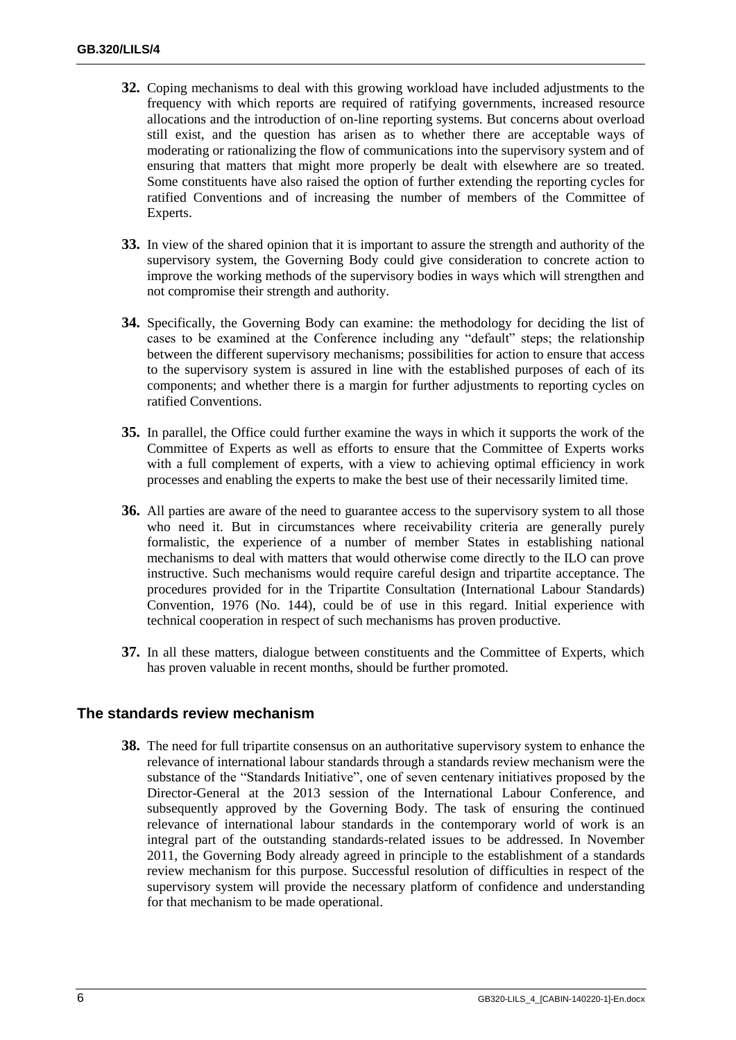- **32.** Coping mechanisms to deal with this growing workload have included adjustments to the frequency with which reports are required of ratifying governments, increased resource allocations and the introduction of on-line reporting systems. But concerns about overload still exist, and the question has arisen as to whether there are acceptable ways of moderating or rationalizing the flow of communications into the supervisory system and of ensuring that matters that might more properly be dealt with elsewhere are so treated. Some constituents have also raised the option of further extending the reporting cycles for ratified Conventions and of increasing the number of members of the Committee of Experts.
- **33.** In view of the shared opinion that it is important to assure the strength and authority of the supervisory system, the Governing Body could give consideration to concrete action to improve the working methods of the supervisory bodies in ways which will strengthen and not compromise their strength and authority.
- **34.** Specifically, the Governing Body can examine: the methodology for deciding the list of cases to be examined at the Conference including any "default" steps; the relationship between the different supervisory mechanisms; possibilities for action to ensure that access to the supervisory system is assured in line with the established purposes of each of its components; and whether there is a margin for further adjustments to reporting cycles on ratified Conventions.
- **35.** In parallel, the Office could further examine the ways in which it supports the work of the Committee of Experts as well as efforts to ensure that the Committee of Experts works with a full complement of experts, with a view to achieving optimal efficiency in work processes and enabling the experts to make the best use of their necessarily limited time.
- **36.** All parties are aware of the need to guarantee access to the supervisory system to all those who need it. But in circumstances where receivability criteria are generally purely formalistic, the experience of a number of member States in establishing national mechanisms to deal with matters that would otherwise come directly to the ILO can prove instructive. Such mechanisms would require careful design and tripartite acceptance. The procedures provided for in the Tripartite Consultation (International Labour Standards) Convention, 1976 (No. 144), could be of use in this regard. Initial experience with technical cooperation in respect of such mechanisms has proven productive.
- **37.** In all these matters, dialogue between constituents and the Committee of Experts, which has proven valuable in recent months, should be further promoted.

### **The standards review mechanism**

**38.** The need for full tripartite consensus on an authoritative supervisory system to enhance the relevance of international labour standards through a standards review mechanism were the substance of the "Standards Initiative", one of seven centenary initiatives proposed by the Director-General at the 2013 session of the International Labour Conference, and subsequently approved by the Governing Body. The task of ensuring the continued relevance of international labour standards in the contemporary world of work is an integral part of the outstanding standards-related issues to be addressed. In November 2011, the Governing Body already agreed in principle to the establishment of a standards review mechanism for this purpose. Successful resolution of difficulties in respect of the supervisory system will provide the necessary platform of confidence and understanding for that mechanism to be made operational.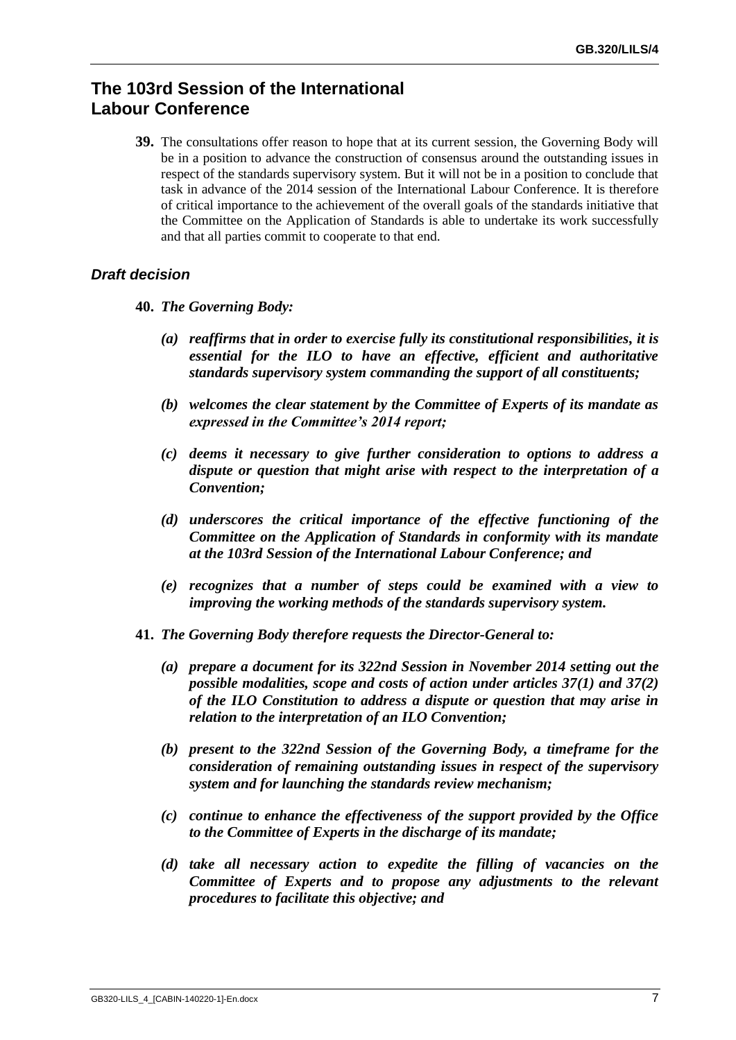# **The 103rd Session of the International Labour Conference**

**39.** The consultations offer reason to hope that at its current session, the Governing Body will be in a position to advance the construction of consensus around the outstanding issues in respect of the standards supervisory system. But it will not be in a position to conclude that task in advance of the 2014 session of the International Labour Conference. It is therefore of critical importance to the achievement of the overall goals of the standards initiative that the Committee on the Application of Standards is able to undertake its work successfully and that all parties commit to cooperate to that end.

### *Draft decision*

- **40.** *The Governing Body:*
	- *(a) reaffirms that in order to exercise fully its constitutional responsibilities, it is essential for the ILO to have an effective, efficient and authoritative standards supervisory system commanding the support of all constituents;*
	- *(b) welcomes the clear statement by the Committee of Experts of its mandate as expressed in the Committee's 2014 report;*
	- *(c) deems it necessary to give further consideration to options to address a dispute or question that might arise with respect to the interpretation of a Convention;*
	- *(d) underscores the critical importance of the effective functioning of the Committee on the Application of Standards in conformity with its mandate at the 103rd Session of the International Labour Conference; and*
	- *(e) recognizes that a number of steps could be examined with a view to improving the working methods of the standards supervisory system.*
- **41.** *The Governing Body therefore requests the Director-General to:* 
	- *(a) prepare a document for its 322nd Session in November 2014 setting out the possible modalities, scope and costs of action under articles 37(1) and 37(2) of the ILO Constitution to address a dispute or question that may arise in relation to the interpretation of an ILO Convention;*
	- *(b) present to the 322nd Session of the Governing Body, a timeframe for the consideration of remaining outstanding issues in respect of the supervisory system and for launching the standards review mechanism;*
	- *(c) continue to enhance the effectiveness of the support provided by the Office to the Committee of Experts in the discharge of its mandate;*
	- *(d) take all necessary action to expedite the filling of vacancies on the Committee of Experts and to propose any adjustments to the relevant procedures to facilitate this objective; and*